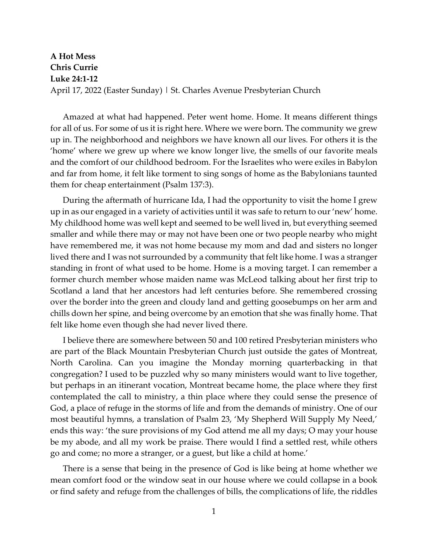## **A Hot Mess Chris Currie Luke 24:1-12** April 17, 2022 (Easter Sunday) | St. Charles Avenue Presbyterian Church

Amazed at what had happened. Peter went home. Home. It means different things for all of us. For some of us it is right here. Where we were born. The community we grew up in. The neighborhood and neighbors we have known all our lives. For others it is the 'home' where we grew up where we know longer live, the smells of our favorite meals and the comfort of our childhood bedroom. For the Israelites who were exiles in Babylon and far from home, it felt like torment to sing songs of home as the Babylonians taunted them for cheap entertainment (Psalm 137:3).

During the aftermath of hurricane Ida, I had the opportunity to visit the home I grew up in as our engaged in a variety of activities until it was safe to return to our 'new' home. My childhood home was well kept and seemed to be well lived in, but everything seemed smaller and while there may or may not have been one or two people nearby who might have remembered me, it was not home because my mom and dad and sisters no longer lived there and I was not surrounded by a community that felt like home. I was a stranger standing in front of what used to be home. Home is a moving target. I can remember a former church member whose maiden name was McLeod talking about her first trip to Scotland a land that her ancestors had left centuries before. She remembered crossing over the border into the green and cloudy land and getting goosebumps on her arm and chills down her spine, and being overcome by an emotion that she was finally home. That felt like home even though she had never lived there.

I believe there are somewhere between 50 and 100 retired Presbyterian ministers who are part of the Black Mountain Presbyterian Church just outside the gates of Montreat, North Carolina. Can you imagine the Monday morning quarterbacking in that congregation? I used to be puzzled why so many ministers would want to live together, but perhaps in an itinerant vocation, Montreat became home, the place where they first contemplated the call to ministry, a thin place where they could sense the presence of God, a place of refuge in the storms of life and from the demands of ministry. One of our most beautiful hymns, a translation of Psalm 23, 'My Shepherd Will Supply My Need,' ends this way: 'the sure provisions of my God attend me all my days; O may your house be my abode, and all my work be praise. There would I find a settled rest, while others go and come; no more a stranger, or a guest, but like a child at home.'

There is a sense that being in the presence of God is like being at home whether we mean comfort food or the window seat in our house where we could collapse in a book or find safety and refuge from the challenges of bills, the complications of life, the riddles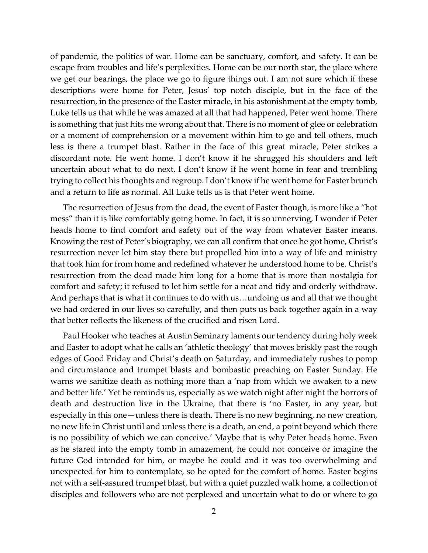of pandemic, the politics of war. Home can be sanctuary, comfort, and safety. It can be escape from troubles and life's perplexities. Home can be our north star, the place where we get our bearings, the place we go to figure things out. I am not sure which if these descriptions were home for Peter, Jesus' top notch disciple, but in the face of the resurrection, in the presence of the Easter miracle, in his astonishment at the empty tomb, Luke tells us that while he was amazed at all that had happened, Peter went home. There is something that just hits me wrong about that. There is no moment of glee or celebration or a moment of comprehension or a movement within him to go and tell others, much less is there a trumpet blast. Rather in the face of this great miracle, Peter strikes a discordant note. He went home. I don't know if he shrugged his shoulders and left uncertain about what to do next. I don't know if he went home in fear and trembling trying to collect his thoughts and regroup. I don't know if he went home for Easter brunch and a return to life as normal. All Luke tells us is that Peter went home.

The resurrection of Jesus from the dead, the event of Easter though, is more like a "hot mess" than it is like comfortably going home. In fact, it is so unnerving, I wonder if Peter heads home to find comfort and safety out of the way from whatever Easter means. Knowing the rest of Peter's biography, we can all confirm that once he got home, Christ's resurrection never let him stay there but propelled him into a way of life and ministry that took him for from home and redefined whatever he understood home to be. Christ's resurrection from the dead made him long for a home that is more than nostalgia for comfort and safety; it refused to let him settle for a neat and tidy and orderly withdraw. And perhaps that is what it continues to do with us…undoing us and all that we thought we had ordered in our lives so carefully, and then puts us back together again in a way that better reflects the likeness of the crucified and risen Lord.

Paul Hooker who teaches at Austin Seminary laments our tendency during holy week and Easter to adopt what he calls an 'athletic theology' that moves briskly past the rough edges of Good Friday and Christ's death on Saturday, and immediately rushes to pomp and circumstance and trumpet blasts and bombastic preaching on Easter Sunday. He warns we sanitize death as nothing more than a 'nap from which we awaken to a new and better life.' Yet he reminds us, especially as we watch night after night the horrors of death and destruction live in the Ukraine, that there is 'no Easter, in any year, but especially in this one—unless there is death. There is no new beginning, no new creation, no new life in Christ until and unless there is a death, an end, a point beyond which there is no possibility of which we can conceive.' Maybe that is why Peter heads home. Even as he stared into the empty tomb in amazement, he could not conceive or imagine the future God intended for him, or maybe he could and it was too overwhelming and unexpected for him to contemplate, so he opted for the comfort of home. Easter begins not with a self-assured trumpet blast, but with a quiet puzzled walk home, a collection of disciples and followers who are not perplexed and uncertain what to do or where to go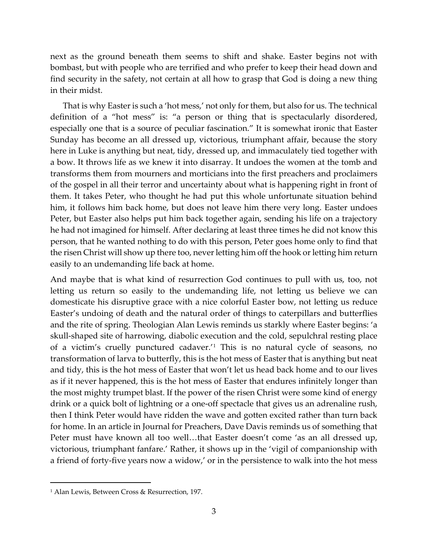next as the ground beneath them seems to shift and shake. Easter begins not with bombast, but with people who are terrified and who prefer to keep their head down and find security in the safety, not certain at all how to grasp that God is doing a new thing in their midst.

That is why Easter is such a 'hot mess,' not only for them, but also for us. The technical definition of a "hot mess" is: "a person or thing that is spectacularly disordered, especially one that is a source of peculiar fascination." It is somewhat ironic that Easter Sunday has become an all dressed up, victorious, triumphant affair, because the story here in Luke is anything but neat, tidy, dressed up, and immaculately tied together with a bow. It throws life as we knew it into disarray. It undoes the women at the tomb and transforms them from mourners and morticians into the first preachers and proclaimers of the gospel in all their terror and uncertainty about what is happening right in front of them. It takes Peter, who thought he had put this whole unfortunate situation behind him, it follows him back home, but does not leave him there very long. Easter undoes Peter, but Easter also helps put him back together again, sending his life on a trajectory he had not imagined for himself. After declaring at least three times he did not know this person, that he wanted nothing to do with this person, Peter goes home only to find that the risen Christ will show up there too, never letting him off the hook or letting him return easily to an undemanding life back at home.

And maybe that is what kind of resurrection God continues to pull with us, too, not letting us return so easily to the undemanding life, not letting us believe we can domesticate his disruptive grace with a nice colorful Easter bow, not letting us reduce Easter's undoing of death and the natural order of things to caterpillars and butterflies and the rite of spring. Theologian Alan Lewis reminds us starkly where Easter begins: 'a skull-shaped site of harrowing, diabolic execution and the cold, sepulchral resting place of a victim's cruelly punctured cadaver.'[1](#page-2-0) This is no natural cycle of seasons, no transformation of larva to butterfly, this is the hot mess of Easter that is anything but neat and tidy, this is the hot mess of Easter that won't let us head back home and to our lives as if it never happened, this is the hot mess of Easter that endures infinitely longer than the most mighty trumpet blast. If the power of the risen Christ were some kind of energy drink or a quick bolt of lightning or a one-off spectacle that gives us an adrenaline rush, then I think Peter would have ridden the wave and gotten excited rather than turn back for home. In an article in Journal for Preachers, Dave Davis reminds us of something that Peter must have known all too well…that Easter doesn't come 'as an all dressed up, victorious, triumphant fanfare.' Rather, it shows up in the 'vigil of companionship with a friend of forty-five years now a widow,' or in the persistence to walk into the hot mess

<span id="page-2-0"></span><sup>1</sup> Alan Lewis, Between Cross & Resurrection, 197.